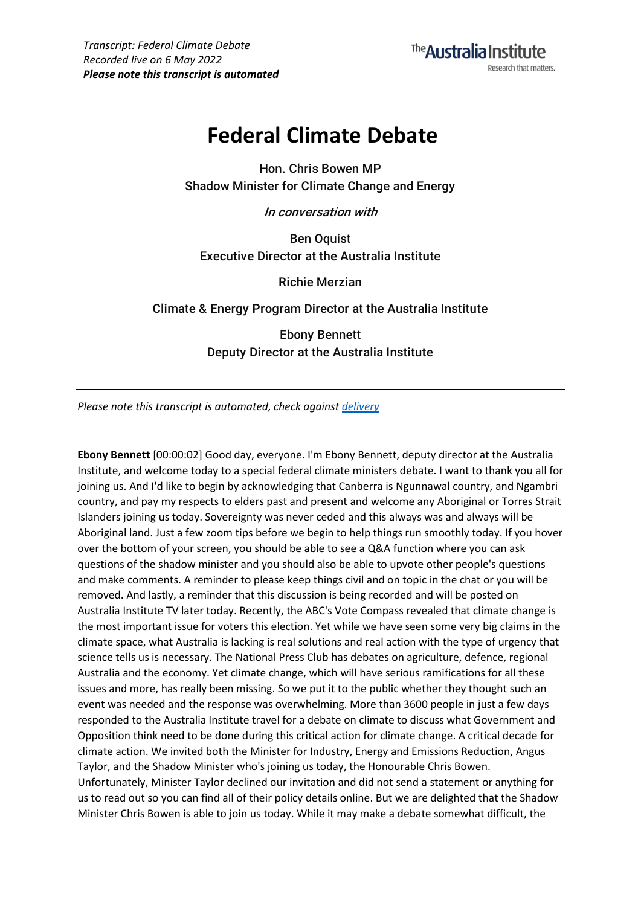# **Federal Climate Debate**

Hon. Chris Bowen MP Shadow Minister for Climate Change and Energy

In conversation with

Ben Oquist Executive Director at the Australia Institute

Richie Merzian

Climate & Energy Program Director at the Australia Institute

Ebony Bennett Deputy Director at the Australia Institute

*Please note this transcript is automated, check agains[t delivery](https://youtu.be/3elN9xywUQA)*

**Ebony Bennett** [00:00:02] Good day, everyone. I'm Ebony Bennett, deputy director at the Australia Institute, and welcome today to a special federal climate ministers debate. I want to thank you all for joining us. And I'd like to begin by acknowledging that Canberra is Ngunnawal country, and Ngambri country, and pay my respects to elders past and present and welcome any Aboriginal or Torres Strait Islanders joining us today. Sovereignty was never ceded and this always was and always will be Aboriginal land. Just a few zoom tips before we begin to help things run smoothly today. If you hover over the bottom of your screen, you should be able to see a Q&A function where you can ask questions of the shadow minister and you should also be able to upvote other people's questions and make comments. A reminder to please keep things civil and on topic in the chat or you will be removed. And lastly, a reminder that this discussion is being recorded and will be posted on Australia Institute TV later today. Recently, the ABC's Vote Compass revealed that climate change is the most important issue for voters this election. Yet while we have seen some very big claims in the climate space, what Australia is lacking is real solutions and real action with the type of urgency that science tells us is necessary. The National Press Club has debates on agriculture, defence, regional Australia and the economy. Yet climate change, which will have serious ramifications for all these issues and more, has really been missing. So we put it to the public whether they thought such an event was needed and the response was overwhelming. More than 3600 people in just a few days responded to the Australia Institute travel for a debate on climate to discuss what Government and Opposition think need to be done during this critical action for climate change. A critical decade for climate action. We invited both the Minister for Industry, Energy and Emissions Reduction, Angus Taylor, and the Shadow Minister who's joining us today, the Honourable Chris Bowen. Unfortunately, Minister Taylor declined our invitation and did not send a statement or anything for us to read out so you can find all of their policy details online. But we are delighted that the Shadow Minister Chris Bowen is able to join us today. While it may make a debate somewhat difficult, the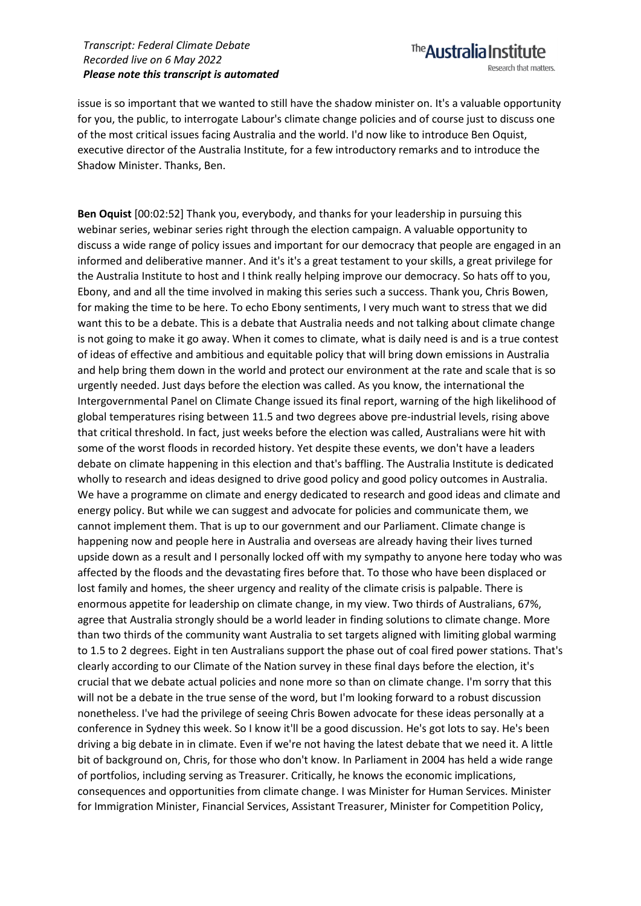The **Australia Institute** Research that matters.

issue is so important that we wanted to still have the shadow minister on. It's a valuable opportunity for you, the public, to interrogate Labour's climate change policies and of course just to discuss one of the most critical issues facing Australia and the world. I'd now like to introduce Ben Oquist, executive director of the Australia Institute, for a few introductory remarks and to introduce the Shadow Minister. Thanks, Ben.

**Ben Oquist** [00:02:52] Thank you, everybody, and thanks for your leadership in pursuing this webinar series, webinar series right through the election campaign. A valuable opportunity to discuss a wide range of policy issues and important for our democracy that people are engaged in an informed and deliberative manner. And it's it's a great testament to your skills, a great privilege for the Australia Institute to host and I think really helping improve our democracy. So hats off to you, Ebony, and and all the time involved in making this series such a success. Thank you, Chris Bowen, for making the time to be here. To echo Ebony sentiments, I very much want to stress that we did want this to be a debate. This is a debate that Australia needs and not talking about climate change is not going to make it go away. When it comes to climate, what is daily need is and is a true contest of ideas of effective and ambitious and equitable policy that will bring down emissions in Australia and help bring them down in the world and protect our environment at the rate and scale that is so urgently needed. Just days before the election was called. As you know, the international the Intergovernmental Panel on Climate Change issued its final report, warning of the high likelihood of global temperatures rising between 11.5 and two degrees above pre-industrial levels, rising above that critical threshold. In fact, just weeks before the election was called, Australians were hit with some of the worst floods in recorded history. Yet despite these events, we don't have a leaders debate on climate happening in this election and that's baffling. The Australia Institute is dedicated wholly to research and ideas designed to drive good policy and good policy outcomes in Australia. We have a programme on climate and energy dedicated to research and good ideas and climate and energy policy. But while we can suggest and advocate for policies and communicate them, we cannot implement them. That is up to our government and our Parliament. Climate change is happening now and people here in Australia and overseas are already having their lives turned upside down as a result and I personally locked off with my sympathy to anyone here today who was affected by the floods and the devastating fires before that. To those who have been displaced or lost family and homes, the sheer urgency and reality of the climate crisis is palpable. There is enormous appetite for leadership on climate change, in my view. Two thirds of Australians, 67%, agree that Australia strongly should be a world leader in finding solutions to climate change. More than two thirds of the community want Australia to set targets aligned with limiting global warming to 1.5 to 2 degrees. Eight in ten Australians support the phase out of coal fired power stations. That's clearly according to our Climate of the Nation survey in these final days before the election, it's crucial that we debate actual policies and none more so than on climate change. I'm sorry that this will not be a debate in the true sense of the word, but I'm looking forward to a robust discussion nonetheless. I've had the privilege of seeing Chris Bowen advocate for these ideas personally at a conference in Sydney this week. So I know it'll be a good discussion. He's got lots to say. He's been driving a big debate in in climate. Even if we're not having the latest debate that we need it. A little bit of background on, Chris, for those who don't know. In Parliament in 2004 has held a wide range of portfolios, including serving as Treasurer. Critically, he knows the economic implications, consequences and opportunities from climate change. I was Minister for Human Services. Minister for Immigration Minister, Financial Services, Assistant Treasurer, Minister for Competition Policy,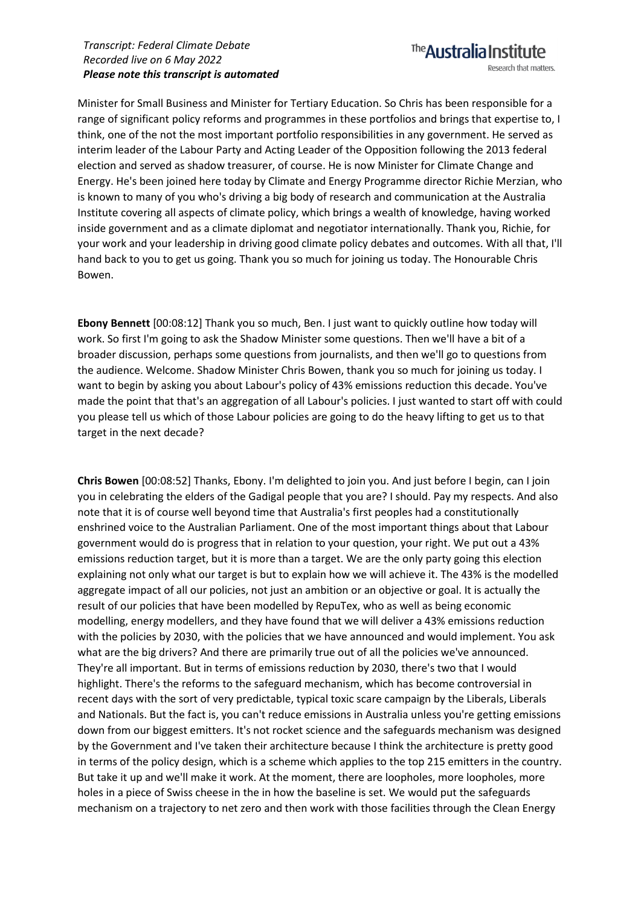Minister for Small Business and Minister for Tertiary Education. So Chris has been responsible for a range of significant policy reforms and programmes in these portfolios and brings that expertise to, I think, one of the not the most important portfolio responsibilities in any government. He served as interim leader of the Labour Party and Acting Leader of the Opposition following the 2013 federal election and served as shadow treasurer, of course. He is now Minister for Climate Change and Energy. He's been joined here today by Climate and Energy Programme director Richie Merzian, who is known to many of you who's driving a big body of research and communication at the Australia Institute covering all aspects of climate policy, which brings a wealth of knowledge, having worked inside government and as a climate diplomat and negotiator internationally. Thank you, Richie, for your work and your leadership in driving good climate policy debates and outcomes. With all that, I'll hand back to you to get us going. Thank you so much for joining us today. The Honourable Chris Bowen.

**Ebony Bennett** [00:08:12] Thank you so much, Ben. I just want to quickly outline how today will work. So first I'm going to ask the Shadow Minister some questions. Then we'll have a bit of a broader discussion, perhaps some questions from journalists, and then we'll go to questions from the audience. Welcome. Shadow Minister Chris Bowen, thank you so much for joining us today. I want to begin by asking you about Labour's policy of 43% emissions reduction this decade. You've made the point that that's an aggregation of all Labour's policies. I just wanted to start off with could you please tell us which of those Labour policies are going to do the heavy lifting to get us to that target in the next decade?

**Chris Bowen** [00:08:52] Thanks, Ebony. I'm delighted to join you. And just before I begin, can I join you in celebrating the elders of the Gadigal people that you are? I should. Pay my respects. And also note that it is of course well beyond time that Australia's first peoples had a constitutionally enshrined voice to the Australian Parliament. One of the most important things about that Labour government would do is progress that in relation to your question, your right. We put out a 43% emissions reduction target, but it is more than a target. We are the only party going this election explaining not only what our target is but to explain how we will achieve it. The 43% is the modelled aggregate impact of all our policies, not just an ambition or an objective or goal. It is actually the result of our policies that have been modelled by RepuTex, who as well as being economic modelling, energy modellers, and they have found that we will deliver a 43% emissions reduction with the policies by 2030, with the policies that we have announced and would implement. You ask what are the big drivers? And there are primarily true out of all the policies we've announced. They're all important. But in terms of emissions reduction by 2030, there's two that I would highlight. There's the reforms to the safeguard mechanism, which has become controversial in recent days with the sort of very predictable, typical toxic scare campaign by the Liberals, Liberals and Nationals. But the fact is, you can't reduce emissions in Australia unless you're getting emissions down from our biggest emitters. It's not rocket science and the safeguards mechanism was designed by the Government and I've taken their architecture because I think the architecture is pretty good in terms of the policy design, which is a scheme which applies to the top 215 emitters in the country. But take it up and we'll make it work. At the moment, there are loopholes, more loopholes, more holes in a piece of Swiss cheese in the in how the baseline is set. We would put the safeguards mechanism on a trajectory to net zero and then work with those facilities through the Clean Energy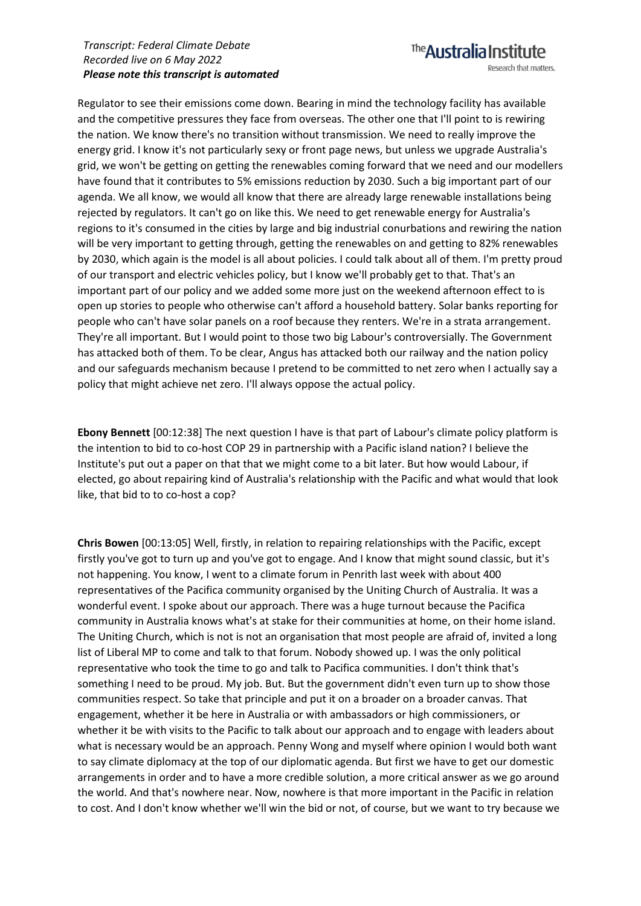Regulator to see their emissions come down. Bearing in mind the technology facility has available and the competitive pressures they face from overseas. The other one that I'll point to is rewiring the nation. We know there's no transition without transmission. We need to really improve the energy grid. I know it's not particularly sexy or front page news, but unless we upgrade Australia's grid, we won't be getting on getting the renewables coming forward that we need and our modellers have found that it contributes to 5% emissions reduction by 2030. Such a big important part of our agenda. We all know, we would all know that there are already large renewable installations being rejected by regulators. It can't go on like this. We need to get renewable energy for Australia's regions to it's consumed in the cities by large and big industrial conurbations and rewiring the nation will be very important to getting through, getting the renewables on and getting to 82% renewables by 2030, which again is the model is all about policies. I could talk about all of them. I'm pretty proud of our transport and electric vehicles policy, but I know we'll probably get to that. That's an important part of our policy and we added some more just on the weekend afternoon effect to is open up stories to people who otherwise can't afford a household battery. Solar banks reporting for people who can't have solar panels on a roof because they renters. We're in a strata arrangement. They're all important. But I would point to those two big Labour's controversially. The Government has attacked both of them. To be clear, Angus has attacked both our railway and the nation policy and our safeguards mechanism because I pretend to be committed to net zero when I actually say a policy that might achieve net zero. I'll always oppose the actual policy.

**Ebony Bennett** [00:12:38] The next question I have is that part of Labour's climate policy platform is the intention to bid to co-host COP 29 in partnership with a Pacific island nation? I believe the Institute's put out a paper on that that we might come to a bit later. But how would Labour, if elected, go about repairing kind of Australia's relationship with the Pacific and what would that look like, that bid to to co-host a cop?

**Chris Bowen** [00:13:05] Well, firstly, in relation to repairing relationships with the Pacific, except firstly you've got to turn up and you've got to engage. And I know that might sound classic, but it's not happening. You know, I went to a climate forum in Penrith last week with about 400 representatives of the Pacifica community organised by the Uniting Church of Australia. It was a wonderful event. I spoke about our approach. There was a huge turnout because the Pacifica community in Australia knows what's at stake for their communities at home, on their home island. The Uniting Church, which is not is not an organisation that most people are afraid of, invited a long list of Liberal MP to come and talk to that forum. Nobody showed up. I was the only political representative who took the time to go and talk to Pacifica communities. I don't think that's something I need to be proud. My job. But. But the government didn't even turn up to show those communities respect. So take that principle and put it on a broader on a broader canvas. That engagement, whether it be here in Australia or with ambassadors or high commissioners, or whether it be with visits to the Pacific to talk about our approach and to engage with leaders about what is necessary would be an approach. Penny Wong and myself where opinion I would both want to say climate diplomacy at the top of our diplomatic agenda. But first we have to get our domestic arrangements in order and to have a more credible solution, a more critical answer as we go around the world. And that's nowhere near. Now, nowhere is that more important in the Pacific in relation to cost. And I don't know whether we'll win the bid or not, of course, but we want to try because we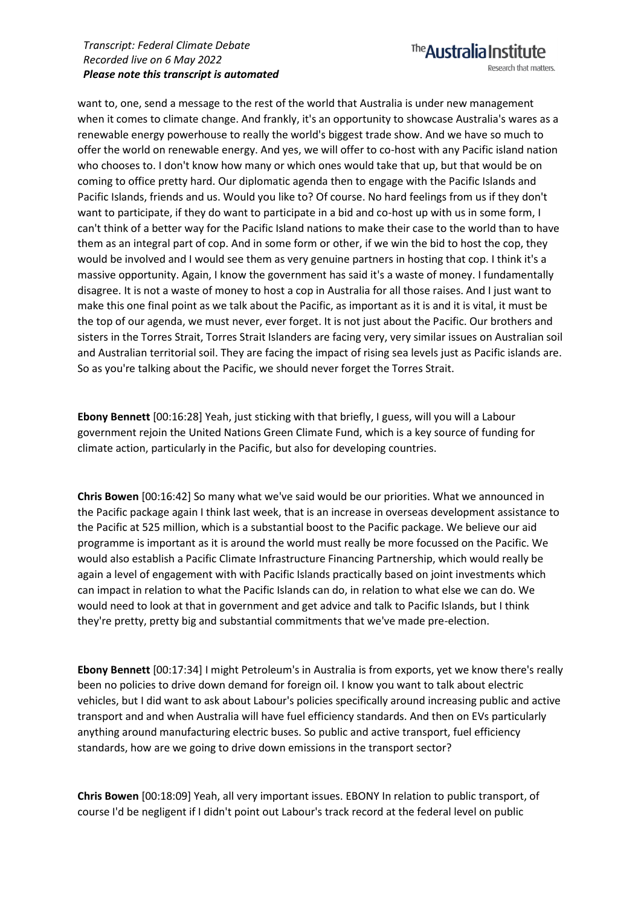## The **Australia Institute** Research that matters.

want to, one, send a message to the rest of the world that Australia is under new management when it comes to climate change. And frankly, it's an opportunity to showcase Australia's wares as a renewable energy powerhouse to really the world's biggest trade show. And we have so much to offer the world on renewable energy. And yes, we will offer to co-host with any Pacific island nation who chooses to. I don't know how many or which ones would take that up, but that would be on coming to office pretty hard. Our diplomatic agenda then to engage with the Pacific Islands and Pacific Islands, friends and us. Would you like to? Of course. No hard feelings from us if they don't want to participate, if they do want to participate in a bid and co-host up with us in some form, I can't think of a better way for the Pacific Island nations to make their case to the world than to have them as an integral part of cop. And in some form or other, if we win the bid to host the cop, they would be involved and I would see them as very genuine partners in hosting that cop. I think it's a massive opportunity. Again, I know the government has said it's a waste of money. I fundamentally disagree. It is not a waste of money to host a cop in Australia for all those raises. And I just want to make this one final point as we talk about the Pacific, as important as it is and it is vital, it must be the top of our agenda, we must never, ever forget. It is not just about the Pacific. Our brothers and sisters in the Torres Strait, Torres Strait Islanders are facing very, very similar issues on Australian soil and Australian territorial soil. They are facing the impact of rising sea levels just as Pacific islands are. So as you're talking about the Pacific, we should never forget the Torres Strait.

**Ebony Bennett** [00:16:28] Yeah, just sticking with that briefly, I guess, will you will a Labour government rejoin the United Nations Green Climate Fund, which is a key source of funding for climate action, particularly in the Pacific, but also for developing countries.

**Chris Bowen** [00:16:42] So many what we've said would be our priorities. What we announced in the Pacific package again I think last week, that is an increase in overseas development assistance to the Pacific at 525 million, which is a substantial boost to the Pacific package. We believe our aid programme is important as it is around the world must really be more focussed on the Pacific. We would also establish a Pacific Climate Infrastructure Financing Partnership, which would really be again a level of engagement with with Pacific Islands practically based on joint investments which can impact in relation to what the Pacific Islands can do, in relation to what else we can do. We would need to look at that in government and get advice and talk to Pacific Islands, but I think they're pretty, pretty big and substantial commitments that we've made pre-election.

**Ebony Bennett** [00:17:34] I might Petroleum's in Australia is from exports, yet we know there's really been no policies to drive down demand for foreign oil. I know you want to talk about electric vehicles, but I did want to ask about Labour's policies specifically around increasing public and active transport and and when Australia will have fuel efficiency standards. And then on EVs particularly anything around manufacturing electric buses. So public and active transport, fuel efficiency standards, how are we going to drive down emissions in the transport sector?

**Chris Bowen** [00:18:09] Yeah, all very important issues. EBONY In relation to public transport, of course I'd be negligent if I didn't point out Labour's track record at the federal level on public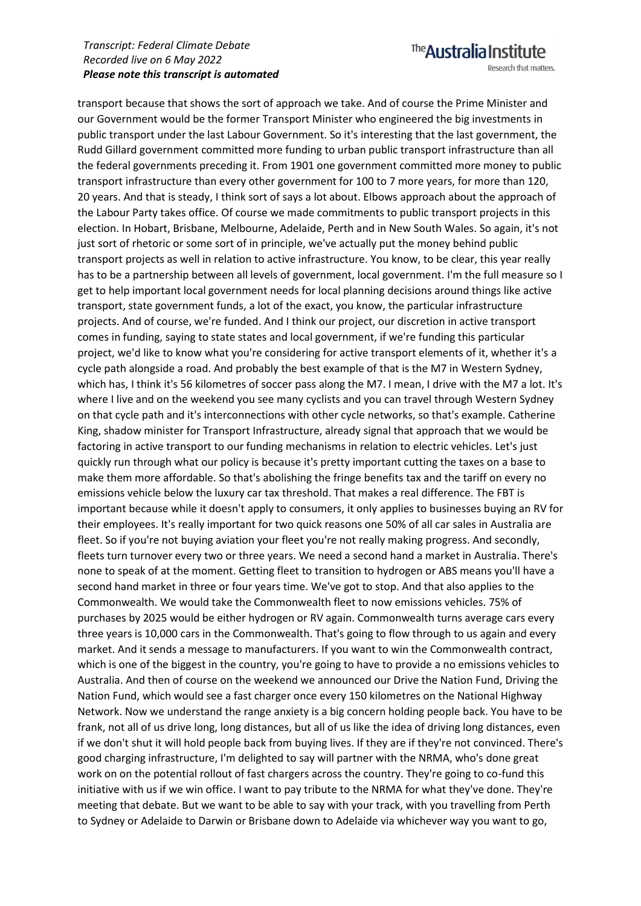Research that matters.

The Australia Institute

transport because that shows the sort of approach we take. And of course the Prime Minister and our Government would be the former Transport Minister who engineered the big investments in public transport under the last Labour Government. So it's interesting that the last government, the Rudd Gillard government committed more funding to urban public transport infrastructure than all the federal governments preceding it. From 1901 one government committed more money to public transport infrastructure than every other government for 100 to 7 more years, for more than 120, 20 years. And that is steady, I think sort of says a lot about. Elbows approach about the approach of the Labour Party takes office. Of course we made commitments to public transport projects in this election. In Hobart, Brisbane, Melbourne, Adelaide, Perth and in New South Wales. So again, it's not just sort of rhetoric or some sort of in principle, we've actually put the money behind public transport projects as well in relation to active infrastructure. You know, to be clear, this year really has to be a partnership between all levels of government, local government. I'm the full measure so I get to help important local government needs for local planning decisions around things like active transport, state government funds, a lot of the exact, you know, the particular infrastructure projects. And of course, we're funded. And I think our project, our discretion in active transport comes in funding, saying to state states and local government, if we're funding this particular project, we'd like to know what you're considering for active transport elements of it, whether it's a cycle path alongside a road. And probably the best example of that is the M7 in Western Sydney, which has, I think it's 56 kilometres of soccer pass along the M7. I mean, I drive with the M7 a lot. It's where I live and on the weekend you see many cyclists and you can travel through Western Sydney on that cycle path and it's interconnections with other cycle networks, so that's example. Catherine King, shadow minister for Transport Infrastructure, already signal that approach that we would be factoring in active transport to our funding mechanisms in relation to electric vehicles. Let's just quickly run through what our policy is because it's pretty important cutting the taxes on a base to make them more affordable. So that's abolishing the fringe benefits tax and the tariff on every no emissions vehicle below the luxury car tax threshold. That makes a real difference. The FBT is important because while it doesn't apply to consumers, it only applies to businesses buying an RV for their employees. It's really important for two quick reasons one 50% of all car sales in Australia are fleet. So if you're not buying aviation your fleet you're not really making progress. And secondly, fleets turn turnover every two or three years. We need a second hand a market in Australia. There's none to speak of at the moment. Getting fleet to transition to hydrogen or ABS means you'll have a second hand market in three or four years time. We've got to stop. And that also applies to the Commonwealth. We would take the Commonwealth fleet to now emissions vehicles. 75% of purchases by 2025 would be either hydrogen or RV again. Commonwealth turns average cars every three years is 10,000 cars in the Commonwealth. That's going to flow through to us again and every market. And it sends a message to manufacturers. If you want to win the Commonwealth contract, which is one of the biggest in the country, you're going to have to provide a no emissions vehicles to Australia. And then of course on the weekend we announced our Drive the Nation Fund, Driving the Nation Fund, which would see a fast charger once every 150 kilometres on the National Highway Network. Now we understand the range anxiety is a big concern holding people back. You have to be frank, not all of us drive long, long distances, but all of us like the idea of driving long distances, even if we don't shut it will hold people back from buying lives. If they are if they're not convinced. There's good charging infrastructure, I'm delighted to say will partner with the NRMA, who's done great work on on the potential rollout of fast chargers across the country. They're going to co-fund this initiative with us if we win office. I want to pay tribute to the NRMA for what they've done. They're meeting that debate. But we want to be able to say with your track, with you travelling from Perth to Sydney or Adelaide to Darwin or Brisbane down to Adelaide via whichever way you want to go,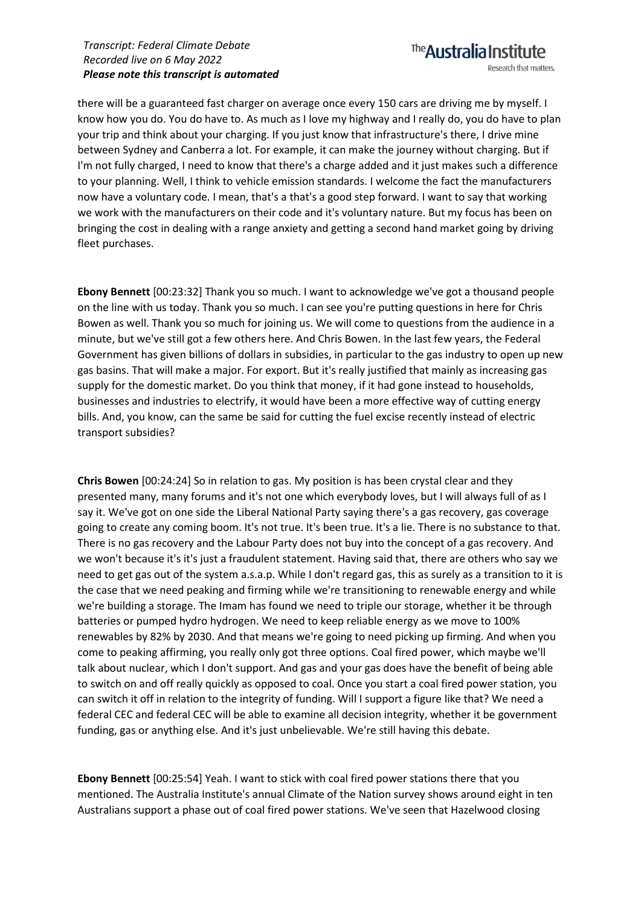there will be a guaranteed fast charger on average once every 150 cars are driving me by myself. I know how you do. You do have to. As much as I love my highway and I really do, you do have to plan your trip and think about your charging. If you just know that infrastructure's there, I drive mine between Sydney and Canberra a lot. For example, it can make the journey without charging. But if I'm not fully charged, I need to know that there's a charge added and it just makes such a difference to your planning. Well, I think to vehicle emission standards. I welcome the fact the manufacturers now have a voluntary code. I mean, that's a that's a good step forward. I want to say that working we work with the manufacturers on their code and it's voluntary nature. But my focus has been on bringing the cost in dealing with a range anxiety and getting a second hand market going by driving fleet purchases.

**Ebony Bennett** [00:23:32] Thank you so much. I want to acknowledge we've got a thousand people on the line with us today. Thank you so much. I can see you're putting questions in here for Chris Bowen as well. Thank you so much for joining us. We will come to questions from the audience in a minute, but we've still got a few others here. And Chris Bowen. In the last few years, the Federal Government has given billions of dollars in subsidies, in particular to the gas industry to open up new gas basins. That will make a major. For export. But it's really justified that mainly as increasing gas supply for the domestic market. Do you think that money, if it had gone instead to households, businesses and industries to electrify, it would have been a more effective way of cutting energy bills. And, you know, can the same be said for cutting the fuel excise recently instead of electric transport subsidies?

**Chris Bowen** [00:24:24] So in relation to gas. My position is has been crystal clear and they presented many, many forums and it's not one which everybody loves, but I will always full of as I say it. We've got on one side the Liberal National Party saying there's a gas recovery, gas coverage going to create any coming boom. It's not true. It's been true. It's a lie. There is no substance to that. There is no gas recovery and the Labour Party does not buy into the concept of a gas recovery. And we won't because it's it's just a fraudulent statement. Having said that, there are others who say we need to get gas out of the system a.s.a.p. While I don't regard gas, this as surely as a transition to it is the case that we need peaking and firming while we're transitioning to renewable energy and while we're building a storage. The Imam has found we need to triple our storage, whether it be through batteries or pumped hydro hydrogen. We need to keep reliable energy as we move to 100% renewables by 82% by 2030. And that means we're going to need picking up firming. And when you come to peaking affirming, you really only got three options. Coal fired power, which maybe we'll talk about nuclear, which I don't support. And gas and your gas does have the benefit of being able to switch on and off really quickly as opposed to coal. Once you start a coal fired power station, you can switch it off in relation to the integrity of funding. Will I support a figure like that? We need a federal CEC and federal CEC will be able to examine all decision integrity, whether it be government funding, gas or anything else. And it's just unbelievable. We're still having this debate.

**Ebony Bennett** [00:25:54] Yeah. I want to stick with coal fired power stations there that you mentioned. The Australia Institute's annual Climate of the Nation survey shows around eight in ten Australians support a phase out of coal fired power stations. We've seen that Hazelwood closing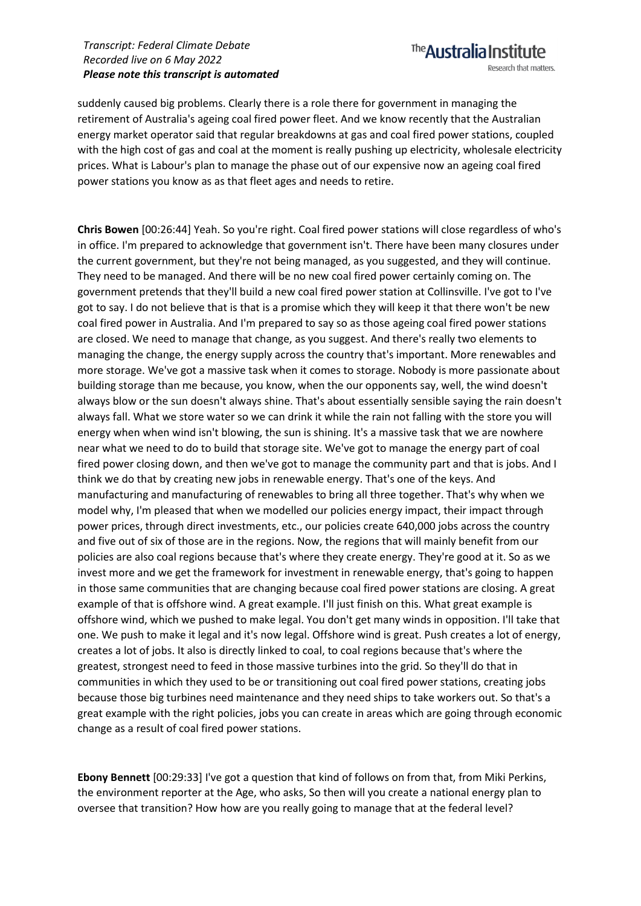Research that matters.

The **Australia Institute** 

suddenly caused big problems. Clearly there is a role there for government in managing the retirement of Australia's ageing coal fired power fleet. And we know recently that the Australian energy market operator said that regular breakdowns at gas and coal fired power stations, coupled with the high cost of gas and coal at the moment is really pushing up electricity, wholesale electricity prices. What is Labour's plan to manage the phase out of our expensive now an ageing coal fired power stations you know as as that fleet ages and needs to retire.

**Chris Bowen** [00:26:44] Yeah. So you're right. Coal fired power stations will close regardless of who's in office. I'm prepared to acknowledge that government isn't. There have been many closures under the current government, but they're not being managed, as you suggested, and they will continue. They need to be managed. And there will be no new coal fired power certainly coming on. The government pretends that they'll build a new coal fired power station at Collinsville. I've got to I've got to say. I do not believe that is that is a promise which they will keep it that there won't be new coal fired power in Australia. And I'm prepared to say so as those ageing coal fired power stations are closed. We need to manage that change, as you suggest. And there's really two elements to managing the change, the energy supply across the country that's important. More renewables and more storage. We've got a massive task when it comes to storage. Nobody is more passionate about building storage than me because, you know, when the our opponents say, well, the wind doesn't always blow or the sun doesn't always shine. That's about essentially sensible saying the rain doesn't always fall. What we store water so we can drink it while the rain not falling with the store you will energy when when wind isn't blowing, the sun is shining. It's a massive task that we are nowhere near what we need to do to build that storage site. We've got to manage the energy part of coal fired power closing down, and then we've got to manage the community part and that is jobs. And I think we do that by creating new jobs in renewable energy. That's one of the keys. And manufacturing and manufacturing of renewables to bring all three together. That's why when we model why, I'm pleased that when we modelled our policies energy impact, their impact through power prices, through direct investments, etc., our policies create 640,000 jobs across the country and five out of six of those are in the regions. Now, the regions that will mainly benefit from our policies are also coal regions because that's where they create energy. They're good at it. So as we invest more and we get the framework for investment in renewable energy, that's going to happen in those same communities that are changing because coal fired power stations are closing. A great example of that is offshore wind. A great example. I'll just finish on this. What great example is offshore wind, which we pushed to make legal. You don't get many winds in opposition. I'll take that one. We push to make it legal and it's now legal. Offshore wind is great. Push creates a lot of energy, creates a lot of jobs. It also is directly linked to coal, to coal regions because that's where the greatest, strongest need to feed in those massive turbines into the grid. So they'll do that in communities in which they used to be or transitioning out coal fired power stations, creating jobs because those big turbines need maintenance and they need ships to take workers out. So that's a great example with the right policies, jobs you can create in areas which are going through economic change as a result of coal fired power stations.

**Ebony Bennett** [00:29:33] I've got a question that kind of follows on from that, from Miki Perkins, the environment reporter at the Age, who asks, So then will you create a national energy plan to oversee that transition? How how are you really going to manage that at the federal level?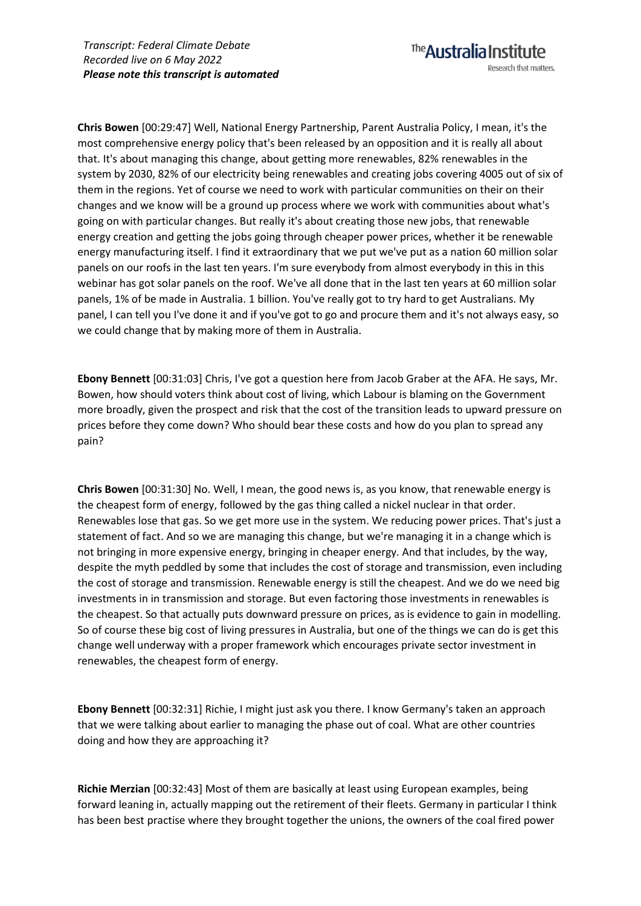**Chris Bowen** [00:29:47] Well, National Energy Partnership, Parent Australia Policy, I mean, it's the most comprehensive energy policy that's been released by an opposition and it is really all about that. It's about managing this change, about getting more renewables, 82% renewables in the system by 2030, 82% of our electricity being renewables and creating jobs covering 4005 out of six of them in the regions. Yet of course we need to work with particular communities on their on their changes and we know will be a ground up process where we work with communities about what's going on with particular changes. But really it's about creating those new jobs, that renewable energy creation and getting the jobs going through cheaper power prices, whether it be renewable energy manufacturing itself. I find it extraordinary that we put we've put as a nation 60 million solar panels on our roofs in the last ten years. I'm sure everybody from almost everybody in this in this webinar has got solar panels on the roof. We've all done that in the last ten years at 60 million solar panels, 1% of be made in Australia. 1 billion. You've really got to try hard to get Australians. My panel, I can tell you I've done it and if you've got to go and procure them and it's not always easy, so we could change that by making more of them in Australia.

The **Australia** Institute

Research that matters.

**Ebony Bennett** [00:31:03] Chris, I've got a question here from Jacob Graber at the AFA. He says, Mr. Bowen, how should voters think about cost of living, which Labour is blaming on the Government more broadly, given the prospect and risk that the cost of the transition leads to upward pressure on prices before they come down? Who should bear these costs and how do you plan to spread any pain?

**Chris Bowen** [00:31:30] No. Well, I mean, the good news is, as you know, that renewable energy is the cheapest form of energy, followed by the gas thing called a nickel nuclear in that order. Renewables lose that gas. So we get more use in the system. We reducing power prices. That's just a statement of fact. And so we are managing this change, but we're managing it in a change which is not bringing in more expensive energy, bringing in cheaper energy. And that includes, by the way, despite the myth peddled by some that includes the cost of storage and transmission, even including the cost of storage and transmission. Renewable energy is still the cheapest. And we do we need big investments in in transmission and storage. But even factoring those investments in renewables is the cheapest. So that actually puts downward pressure on prices, as is evidence to gain in modelling. So of course these big cost of living pressures in Australia, but one of the things we can do is get this change well underway with a proper framework which encourages private sector investment in renewables, the cheapest form of energy.

**Ebony Bennett** [00:32:31] Richie, I might just ask you there. I know Germany's taken an approach that we were talking about earlier to managing the phase out of coal. What are other countries doing and how they are approaching it?

**Richie Merzian** [00:32:43] Most of them are basically at least using European examples, being forward leaning in, actually mapping out the retirement of their fleets. Germany in particular I think has been best practise where they brought together the unions, the owners of the coal fired power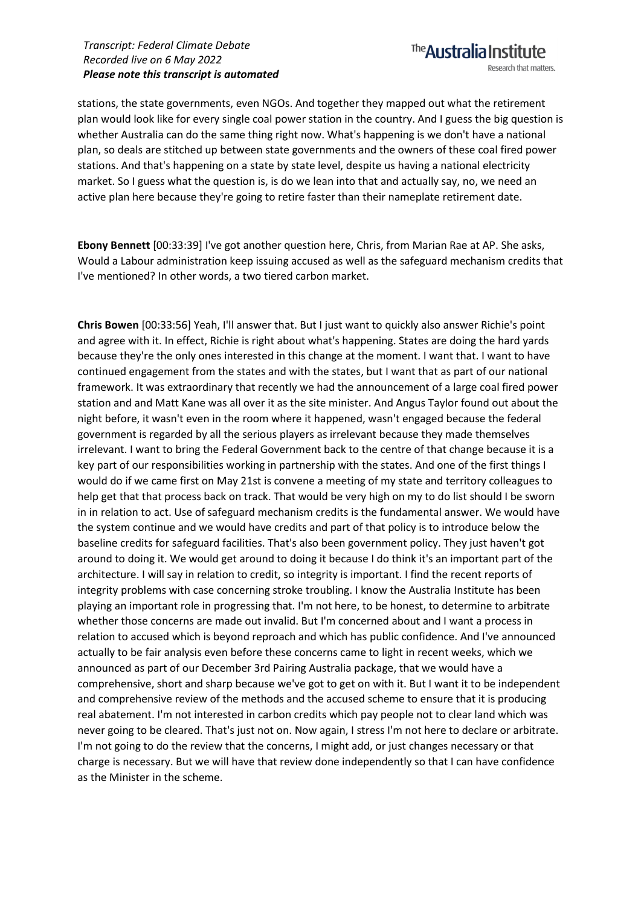stations, the state governments, even NGOs. And together they mapped out what the retirement plan would look like for every single coal power station in the country. And I guess the big question is whether Australia can do the same thing right now. What's happening is we don't have a national plan, so deals are stitched up between state governments and the owners of these coal fired power stations. And that's happening on a state by state level, despite us having a national electricity market. So I guess what the question is, is do we lean into that and actually say, no, we need an active plan here because they're going to retire faster than their nameplate retirement date.

**Ebony Bennett** [00:33:39] I've got another question here, Chris, from Marian Rae at AP. She asks, Would a Labour administration keep issuing accused as well as the safeguard mechanism credits that I've mentioned? In other words, a two tiered carbon market.

**Chris Bowen** [00:33:56] Yeah, I'll answer that. But I just want to quickly also answer Richie's point and agree with it. In effect, Richie is right about what's happening. States are doing the hard yards because they're the only ones interested in this change at the moment. I want that. I want to have continued engagement from the states and with the states, but I want that as part of our national framework. It was extraordinary that recently we had the announcement of a large coal fired power station and and Matt Kane was all over it as the site minister. And Angus Taylor found out about the night before, it wasn't even in the room where it happened, wasn't engaged because the federal government is regarded by all the serious players as irrelevant because they made themselves irrelevant. I want to bring the Federal Government back to the centre of that change because it is a key part of our responsibilities working in partnership with the states. And one of the first things I would do if we came first on May 21st is convene a meeting of my state and territory colleagues to help get that that process back on track. That would be very high on my to do list should I be sworn in in relation to act. Use of safeguard mechanism credits is the fundamental answer. We would have the system continue and we would have credits and part of that policy is to introduce below the baseline credits for safeguard facilities. That's also been government policy. They just haven't got around to doing it. We would get around to doing it because I do think it's an important part of the architecture. I will say in relation to credit, so integrity is important. I find the recent reports of integrity problems with case concerning stroke troubling. I know the Australia Institute has been playing an important role in progressing that. I'm not here, to be honest, to determine to arbitrate whether those concerns are made out invalid. But I'm concerned about and I want a process in relation to accused which is beyond reproach and which has public confidence. And I've announced actually to be fair analysis even before these concerns came to light in recent weeks, which we announced as part of our December 3rd Pairing Australia package, that we would have a comprehensive, short and sharp because we've got to get on with it. But I want it to be independent and comprehensive review of the methods and the accused scheme to ensure that it is producing real abatement. I'm not interested in carbon credits which pay people not to clear land which was never going to be cleared. That's just not on. Now again, I stress I'm not here to declare or arbitrate. I'm not going to do the review that the concerns, I might add, or just changes necessary or that charge is necessary. But we will have that review done independently so that I can have confidence as the Minister in the scheme.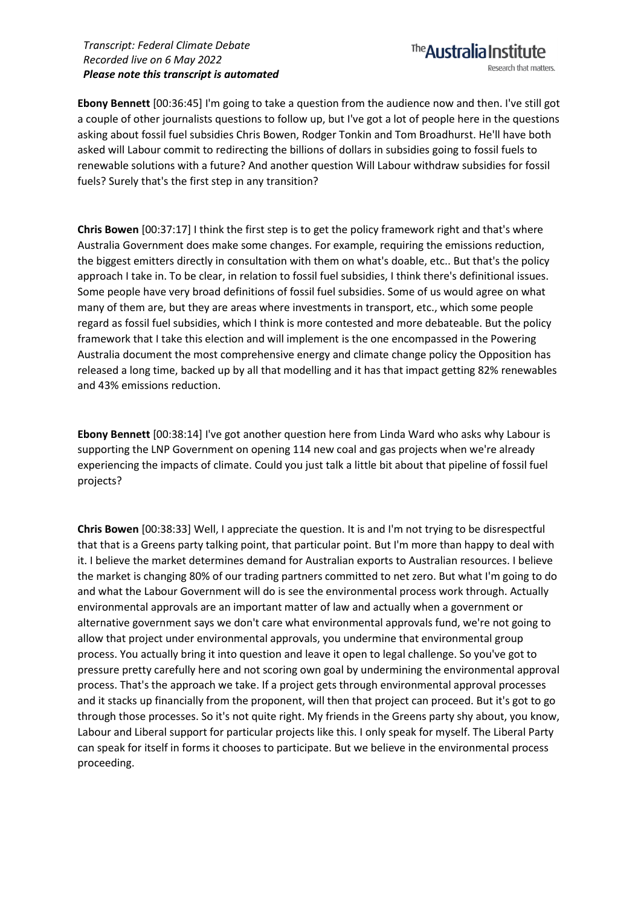The **Australia Institute** Research that matters.

**Ebony Bennett** [00:36:45] I'm going to take a question from the audience now and then. I've still got a couple of other journalists questions to follow up, but I've got a lot of people here in the questions asking about fossil fuel subsidies Chris Bowen, Rodger Tonkin and Tom Broadhurst. He'll have both asked will Labour commit to redirecting the billions of dollars in subsidies going to fossil fuels to renewable solutions with a future? And another question Will Labour withdraw subsidies for fossil fuels? Surely that's the first step in any transition?

**Chris Bowen** [00:37:17] I think the first step is to get the policy framework right and that's where Australia Government does make some changes. For example, requiring the emissions reduction, the biggest emitters directly in consultation with them on what's doable, etc.. But that's the policy approach I take in. To be clear, in relation to fossil fuel subsidies, I think there's definitional issues. Some people have very broad definitions of fossil fuel subsidies. Some of us would agree on what many of them are, but they are areas where investments in transport, etc., which some people regard as fossil fuel subsidies, which I think is more contested and more debateable. But the policy framework that I take this election and will implement is the one encompassed in the Powering Australia document the most comprehensive energy and climate change policy the Opposition has released a long time, backed up by all that modelling and it has that impact getting 82% renewables and 43% emissions reduction.

**Ebony Bennett** [00:38:14] I've got another question here from Linda Ward who asks why Labour is supporting the LNP Government on opening 114 new coal and gas projects when we're already experiencing the impacts of climate. Could you just talk a little bit about that pipeline of fossil fuel projects?

**Chris Bowen** [00:38:33] Well, I appreciate the question. It is and I'm not trying to be disrespectful that that is a Greens party talking point, that particular point. But I'm more than happy to deal with it. I believe the market determines demand for Australian exports to Australian resources. I believe the market is changing 80% of our trading partners committed to net zero. But what I'm going to do and what the Labour Government will do is see the environmental process work through. Actually environmental approvals are an important matter of law and actually when a government or alternative government says we don't care what environmental approvals fund, we're not going to allow that project under environmental approvals, you undermine that environmental group process. You actually bring it into question and leave it open to legal challenge. So you've got to pressure pretty carefully here and not scoring own goal by undermining the environmental approval process. That's the approach we take. If a project gets through environmental approval processes and it stacks up financially from the proponent, will then that project can proceed. But it's got to go through those processes. So it's not quite right. My friends in the Greens party shy about, you know, Labour and Liberal support for particular projects like this. I only speak for myself. The Liberal Party can speak for itself in forms it chooses to participate. But we believe in the environmental process proceeding.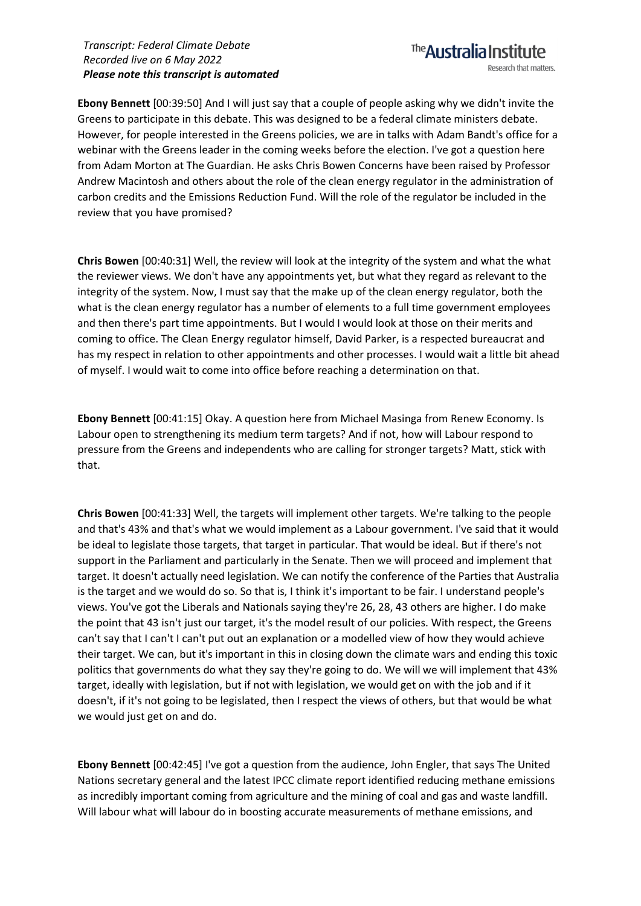# The **Australia** Institute Research that matters.

**Ebony Bennett** [00:39:50] And I will just say that a couple of people asking why we didn't invite the Greens to participate in this debate. This was designed to be a federal climate ministers debate. However, for people interested in the Greens policies, we are in talks with Adam Bandt's office for a webinar with the Greens leader in the coming weeks before the election. I've got a question here from Adam Morton at The Guardian. He asks Chris Bowen Concerns have been raised by Professor Andrew Macintosh and others about the role of the clean energy regulator in the administration of carbon credits and the Emissions Reduction Fund. Will the role of the regulator be included in the review that you have promised?

**Chris Bowen** [00:40:31] Well, the review will look at the integrity of the system and what the what the reviewer views. We don't have any appointments yet, but what they regard as relevant to the integrity of the system. Now, I must say that the make up of the clean energy regulator, both the what is the clean energy regulator has a number of elements to a full time government employees and then there's part time appointments. But I would I would look at those on their merits and coming to office. The Clean Energy regulator himself, David Parker, is a respected bureaucrat and has my respect in relation to other appointments and other processes. I would wait a little bit ahead of myself. I would wait to come into office before reaching a determination on that.

**Ebony Bennett** [00:41:15] Okay. A question here from Michael Masinga from Renew Economy. Is Labour open to strengthening its medium term targets? And if not, how will Labour respond to pressure from the Greens and independents who are calling for stronger targets? Matt, stick with that.

**Chris Bowen** [00:41:33] Well, the targets will implement other targets. We're talking to the people and that's 43% and that's what we would implement as a Labour government. I've said that it would be ideal to legislate those targets, that target in particular. That would be ideal. But if there's not support in the Parliament and particularly in the Senate. Then we will proceed and implement that target. It doesn't actually need legislation. We can notify the conference of the Parties that Australia is the target and we would do so. So that is, I think it's important to be fair. I understand people's views. You've got the Liberals and Nationals saying they're 26, 28, 43 others are higher. I do make the point that 43 isn't just our target, it's the model result of our policies. With respect, the Greens can't say that I can't I can't put out an explanation or a modelled view of how they would achieve their target. We can, but it's important in this in closing down the climate wars and ending this toxic politics that governments do what they say they're going to do. We will we will implement that 43% target, ideally with legislation, but if not with legislation, we would get on with the job and if it doesn't, if it's not going to be legislated, then I respect the views of others, but that would be what we would just get on and do.

**Ebony Bennett** [00:42:45] I've got a question from the audience, John Engler, that says The United Nations secretary general and the latest IPCC climate report identified reducing methane emissions as incredibly important coming from agriculture and the mining of coal and gas and waste landfill. Will labour what will labour do in boosting accurate measurements of methane emissions, and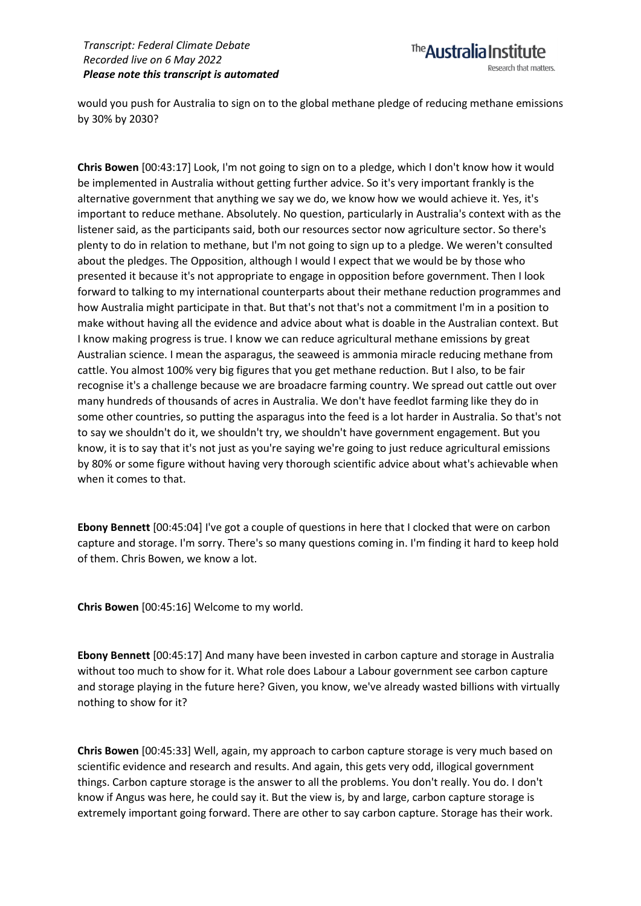would you push for Australia to sign on to the global methane pledge of reducing methane emissions by 30% by 2030?

**Chris Bowen** [00:43:17] Look, I'm not going to sign on to a pledge, which I don't know how it would be implemented in Australia without getting further advice. So it's very important frankly is the alternative government that anything we say we do, we know how we would achieve it. Yes, it's important to reduce methane. Absolutely. No question, particularly in Australia's context with as the listener said, as the participants said, both our resources sector now agriculture sector. So there's plenty to do in relation to methane, but I'm not going to sign up to a pledge. We weren't consulted about the pledges. The Opposition, although I would I expect that we would be by those who presented it because it's not appropriate to engage in opposition before government. Then I look forward to talking to my international counterparts about their methane reduction programmes and how Australia might participate in that. But that's not that's not a commitment I'm in a position to make without having all the evidence and advice about what is doable in the Australian context. But I know making progress is true. I know we can reduce agricultural methane emissions by great Australian science. I mean the asparagus, the seaweed is ammonia miracle reducing methane from cattle. You almost 100% very big figures that you get methane reduction. But I also, to be fair recognise it's a challenge because we are broadacre farming country. We spread out cattle out over many hundreds of thousands of acres in Australia. We don't have feedlot farming like they do in some other countries, so putting the asparagus into the feed is a lot harder in Australia. So that's not to say we shouldn't do it, we shouldn't try, we shouldn't have government engagement. But you know, it is to say that it's not just as you're saying we're going to just reduce agricultural emissions by 80% or some figure without having very thorough scientific advice about what's achievable when when it comes to that.

**Ebony Bennett** [00:45:04] I've got a couple of questions in here that I clocked that were on carbon capture and storage. I'm sorry. There's so many questions coming in. I'm finding it hard to keep hold of them. Chris Bowen, we know a lot.

**Chris Bowen** [00:45:16] Welcome to my world.

**Ebony Bennett** [00:45:17] And many have been invested in carbon capture and storage in Australia without too much to show for it. What role does Labour a Labour government see carbon capture and storage playing in the future here? Given, you know, we've already wasted billions with virtually nothing to show for it?

**Chris Bowen** [00:45:33] Well, again, my approach to carbon capture storage is very much based on scientific evidence and research and results. And again, this gets very odd, illogical government things. Carbon capture storage is the answer to all the problems. You don't really. You do. I don't know if Angus was here, he could say it. But the view is, by and large, carbon capture storage is extremely important going forward. There are other to say carbon capture. Storage has their work.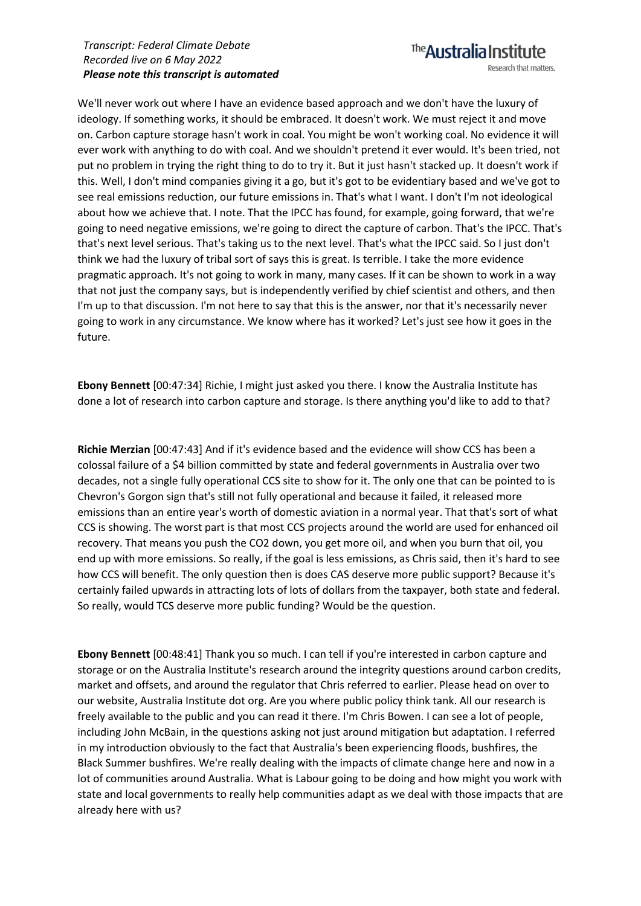We'll never work out where I have an evidence based approach and we don't have the luxury of ideology. If something works, it should be embraced. It doesn't work. We must reject it and move on. Carbon capture storage hasn't work in coal. You might be won't working coal. No evidence it will ever work with anything to do with coal. And we shouldn't pretend it ever would. It's been tried, not put no problem in trying the right thing to do to try it. But it just hasn't stacked up. It doesn't work if this. Well, I don't mind companies giving it a go, but it's got to be evidentiary based and we've got to see real emissions reduction, our future emissions in. That's what I want. I don't I'm not ideological about how we achieve that. I note. That the IPCC has found, for example, going forward, that we're going to need negative emissions, we're going to direct the capture of carbon. That's the IPCC. That's that's next level serious. That's taking us to the next level. That's what the IPCC said. So I just don't think we had the luxury of tribal sort of says this is great. Is terrible. I take the more evidence pragmatic approach. It's not going to work in many, many cases. If it can be shown to work in a way that not just the company says, but is independently verified by chief scientist and others, and then I'm up to that discussion. I'm not here to say that this is the answer, nor that it's necessarily never going to work in any circumstance. We know where has it worked? Let's just see how it goes in the future.

**Ebony Bennett** [00:47:34] Richie, I might just asked you there. I know the Australia Institute has done a lot of research into carbon capture and storage. Is there anything you'd like to add to that?

**Richie Merzian** [00:47:43] And if it's evidence based and the evidence will show CCS has been a colossal failure of a \$4 billion committed by state and federal governments in Australia over two decades, not a single fully operational CCS site to show for it. The only one that can be pointed to is Chevron's Gorgon sign that's still not fully operational and because it failed, it released more emissions than an entire year's worth of domestic aviation in a normal year. That that's sort of what CCS is showing. The worst part is that most CCS projects around the world are used for enhanced oil recovery. That means you push the CO2 down, you get more oil, and when you burn that oil, you end up with more emissions. So really, if the goal is less emissions, as Chris said, then it's hard to see how CCS will benefit. The only question then is does CAS deserve more public support? Because it's certainly failed upwards in attracting lots of lots of dollars from the taxpayer, both state and federal. So really, would TCS deserve more public funding? Would be the question.

**Ebony Bennett** [00:48:41] Thank you so much. I can tell if you're interested in carbon capture and storage or on the Australia Institute's research around the integrity questions around carbon credits, market and offsets, and around the regulator that Chris referred to earlier. Please head on over to our website, Australia Institute dot org. Are you where public policy think tank. All our research is freely available to the public and you can read it there. I'm Chris Bowen. I can see a lot of people, including John McBain, in the questions asking not just around mitigation but adaptation. I referred in my introduction obviously to the fact that Australia's been experiencing floods, bushfires, the Black Summer bushfires. We're really dealing with the impacts of climate change here and now in a lot of communities around Australia. What is Labour going to be doing and how might you work with state and local governments to really help communities adapt as we deal with those impacts that are already here with us?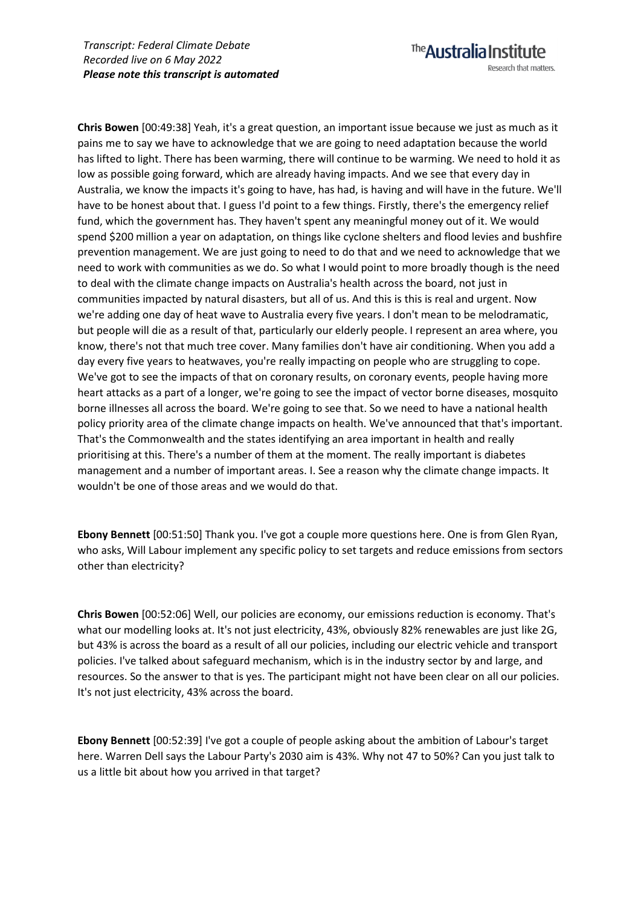**Chris Bowen** [00:49:38] Yeah, it's a great question, an important issue because we just as much as it pains me to say we have to acknowledge that we are going to need adaptation because the world has lifted to light. There has been warming, there will continue to be warming. We need to hold it as low as possible going forward, which are already having impacts. And we see that every day in Australia, we know the impacts it's going to have, has had, is having and will have in the future. We'll have to be honest about that. I guess I'd point to a few things. Firstly, there's the emergency relief fund, which the government has. They haven't spent any meaningful money out of it. We would spend \$200 million a year on adaptation, on things like cyclone shelters and flood levies and bushfire prevention management. We are just going to need to do that and we need to acknowledge that we need to work with communities as we do. So what I would point to more broadly though is the need to deal with the climate change impacts on Australia's health across the board, not just in communities impacted by natural disasters, but all of us. And this is this is real and urgent. Now we're adding one day of heat wave to Australia every five years. I don't mean to be melodramatic, but people will die as a result of that, particularly our elderly people. I represent an area where, you know, there's not that much tree cover. Many families don't have air conditioning. When you add a day every five years to heatwaves, you're really impacting on people who are struggling to cope. We've got to see the impacts of that on coronary results, on coronary events, people having more heart attacks as a part of a longer, we're going to see the impact of vector borne diseases, mosquito borne illnesses all across the board. We're going to see that. So we need to have a national health policy priority area of the climate change impacts on health. We've announced that that's important. That's the Commonwealth and the states identifying an area important in health and really prioritising at this. There's a number of them at the moment. The really important is diabetes management and a number of important areas. I. See a reason why the climate change impacts. It wouldn't be one of those areas and we would do that.

**Ebony Bennett** [00:51:50] Thank you. I've got a couple more questions here. One is from Glen Ryan, who asks, Will Labour implement any specific policy to set targets and reduce emissions from sectors other than electricity?

**Chris Bowen** [00:52:06] Well, our policies are economy, our emissions reduction is economy. That's what our modelling looks at. It's not just electricity, 43%, obviously 82% renewables are just like 2G, but 43% is across the board as a result of all our policies, including our electric vehicle and transport policies. I've talked about safeguard mechanism, which is in the industry sector by and large, and resources. So the answer to that is yes. The participant might not have been clear on all our policies. It's not just electricity, 43% across the board.

**Ebony Bennett** [00:52:39] I've got a couple of people asking about the ambition of Labour's target here. Warren Dell says the Labour Party's 2030 aim is 43%. Why not 47 to 50%? Can you just talk to us a little bit about how you arrived in that target?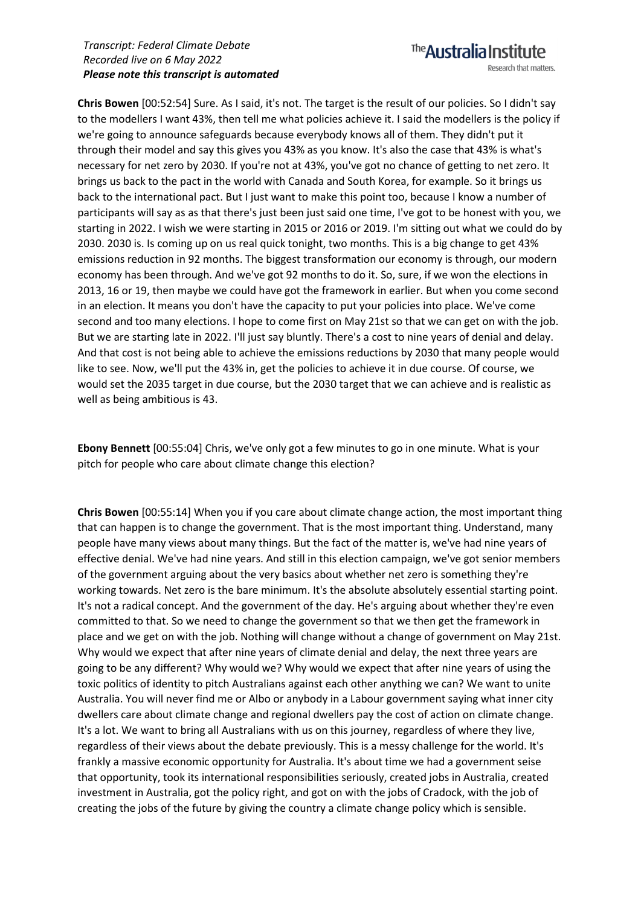## The **Australia Institute** Research that matters.

**Chris Bowen** [00:52:54] Sure. As I said, it's not. The target is the result of our policies. So I didn't say to the modellers I want 43%, then tell me what policies achieve it. I said the modellers is the policy if we're going to announce safeguards because everybody knows all of them. They didn't put it through their model and say this gives you 43% as you know. It's also the case that 43% is what's necessary for net zero by 2030. If you're not at 43%, you've got no chance of getting to net zero. It brings us back to the pact in the world with Canada and South Korea, for example. So it brings us back to the international pact. But I just want to make this point too, because I know a number of participants will say as as that there's just been just said one time, I've got to be honest with you, we starting in 2022. I wish we were starting in 2015 or 2016 or 2019. I'm sitting out what we could do by 2030. 2030 is. Is coming up on us real quick tonight, two months. This is a big change to get 43% emissions reduction in 92 months. The biggest transformation our economy is through, our modern economy has been through. And we've got 92 months to do it. So, sure, if we won the elections in 2013, 16 or 19, then maybe we could have got the framework in earlier. But when you come second in an election. It means you don't have the capacity to put your policies into place. We've come second and too many elections. I hope to come first on May 21st so that we can get on with the job. But we are starting late in 2022. I'll just say bluntly. There's a cost to nine years of denial and delay. And that cost is not being able to achieve the emissions reductions by 2030 that many people would like to see. Now, we'll put the 43% in, get the policies to achieve it in due course. Of course, we would set the 2035 target in due course, but the 2030 target that we can achieve and is realistic as well as being ambitious is 43.

**Ebony Bennett** [00:55:04] Chris, we've only got a few minutes to go in one minute. What is your pitch for people who care about climate change this election?

**Chris Bowen** [00:55:14] When you if you care about climate change action, the most important thing that can happen is to change the government. That is the most important thing. Understand, many people have many views about many things. But the fact of the matter is, we've had nine years of effective denial. We've had nine years. And still in this election campaign, we've got senior members of the government arguing about the very basics about whether net zero is something they're working towards. Net zero is the bare minimum. It's the absolute absolutely essential starting point. It's not a radical concept. And the government of the day. He's arguing about whether they're even committed to that. So we need to change the government so that we then get the framework in place and we get on with the job. Nothing will change without a change of government on May 21st. Why would we expect that after nine years of climate denial and delay, the next three years are going to be any different? Why would we? Why would we expect that after nine years of using the toxic politics of identity to pitch Australians against each other anything we can? We want to unite Australia. You will never find me or Albo or anybody in a Labour government saying what inner city dwellers care about climate change and regional dwellers pay the cost of action on climate change. It's a lot. We want to bring all Australians with us on this journey, regardless of where they live, regardless of their views about the debate previously. This is a messy challenge for the world. It's frankly a massive economic opportunity for Australia. It's about time we had a government seise that opportunity, took its international responsibilities seriously, created jobs in Australia, created investment in Australia, got the policy right, and got on with the jobs of Cradock, with the job of creating the jobs of the future by giving the country a climate change policy which is sensible.